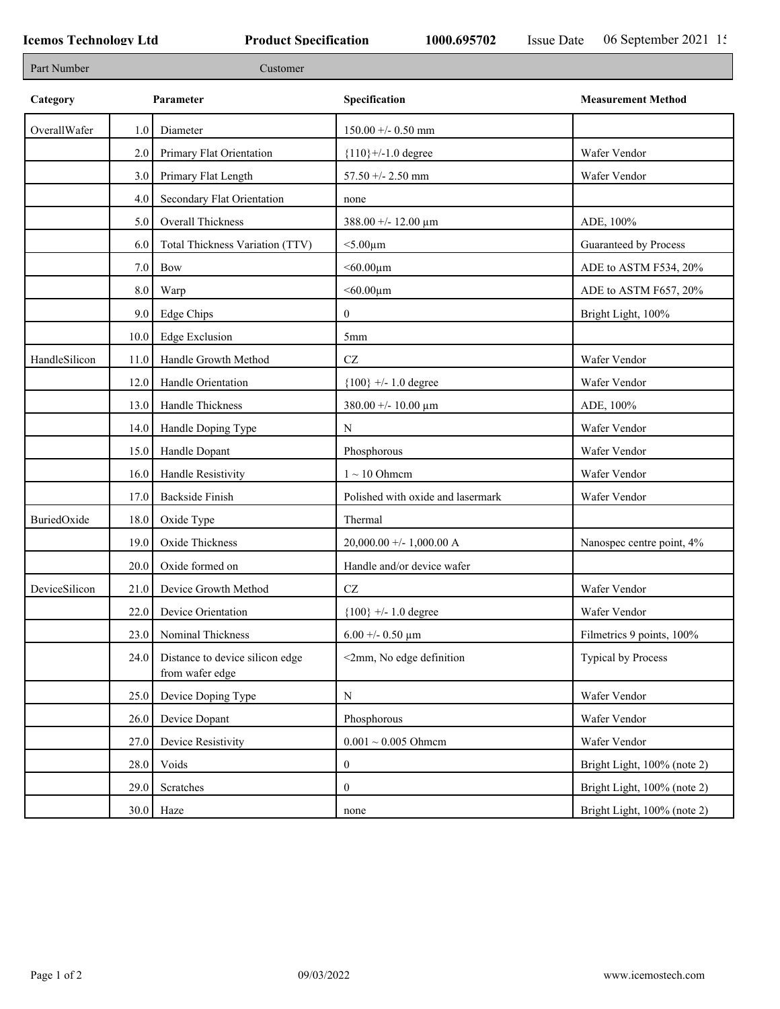п

٦

| Part Number   |         | Customer                                           |                                   |                             |
|---------------|---------|----------------------------------------------------|-----------------------------------|-----------------------------|
| Category      |         | Parameter                                          | Specification                     | <b>Measurement Method</b>   |
| OverallWafer  | 1.0     | Diameter                                           | $150.00 +/- 0.50$ mm              |                             |
|               | 2.0     | Primary Flat Orientation                           | ${110}$ +/-1.0 degree             | Wafer Vendor                |
|               | 3.0     | Primary Flat Length                                | $57.50 + - 2.50$ mm               | Wafer Vendor                |
|               | 4.0     | Secondary Flat Orientation                         | none                              |                             |
|               | 5.0     | Overall Thickness                                  | 388.00 +/- 12.00 $\mu$ m          | ADE, 100%                   |
|               | 6.0     | Total Thickness Variation (TTV)                    | $<$ 5.00 $\mu$ m                  | Guaranteed by Process       |
|               | $7.0\,$ | Bow                                                | $< 60.00 \mu m$                   | ADE to ASTM F534, 20%       |
|               | 8.0     | Warp                                               | $< 60.00 \mu m$                   | ADE to ASTM F657, 20%       |
|               | 9.0     | Edge Chips                                         | $\mathbf{0}$                      | Bright Light, 100%          |
|               | 10.0    | <b>Edge Exclusion</b>                              | 5 <sub>mm</sub>                   |                             |
| HandleSilicon | 11.0    | Handle Growth Method                               | $\operatorname{CZ}$               | Wafer Vendor                |
|               | 12.0    | Handle Orientation                                 | ${100}$ +/- 1.0 degree            | Wafer Vendor                |
|               | 13.0    | Handle Thickness                                   | $380.00 + - 10.00 \mu m$          | ADE, 100%                   |
|               | 14.0    | Handle Doping Type                                 | N                                 | Wafer Vendor                |
|               | 15.0    | Handle Dopant                                      | Phosphorous                       | Wafer Vendor                |
|               | 16.0    | Handle Resistivity                                 | $1 \sim 10$ Ohmem                 | Wafer Vendor                |
|               | 17.0    | Backside Finish                                    | Polished with oxide and lasermark | Wafer Vendor                |
| BuriedOxide   | 18.0    | Oxide Type                                         | Thermal                           |                             |
|               | 19.0    | Oxide Thickness                                    | $20,000.00 +/- 1,000.00 A$        | Nanospec centre point, 4%   |
|               | 20.0    | Oxide formed on                                    | Handle and/or device wafer        |                             |
| DeviceSilicon | 21.0    | Device Growth Method                               | CZ                                | Wafer Vendor                |
|               | 22.0    | Device Orientation                                 | ${100}$ +/- 1.0 degree            | Wafer Vendor                |
|               | 23.0    | Nominal Thickness                                  | 6.00 +/- 0.50 $\mu$ m             | Filmetrics 9 points, 100%   |
|               | 24.0    | Distance to device silicon edge<br>from wafer edge | <2mm, No edge definition          | <b>Typical by Process</b>   |
|               | 25.0    | Device Doping Type                                 | ${\bf N}$                         | Wafer Vendor                |
|               | 26.0    | Device Dopant                                      | Phosphorous                       | Wafer Vendor                |
|               | 27.0    | Device Resistivity                                 | $0.001 \sim 0.005$ Ohmem          | Wafer Vendor                |
|               | 28.0    | Voids                                              | $\bf{0}$                          | Bright Light, 100% (note 2) |
|               | 29.0    | Scratches                                          | $\bf{0}$                          | Bright Light, 100% (note 2) |
|               | 30.0    | Haze                                               | none                              | Bright Light, 100% (note 2) |
|               |         |                                                    |                                   |                             |